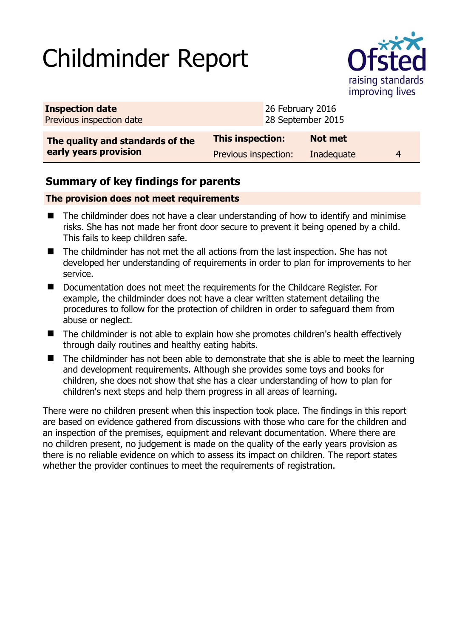# Childminder Report



| <b>Inspection date</b><br>Previous inspection date        |                      | 26 February 2016<br>28 September 2015 |                |   |
|-----------------------------------------------------------|----------------------|---------------------------------------|----------------|---|
| The quality and standards of the<br>early years provision | This inspection:     |                                       | <b>Not met</b> |   |
|                                                           | Previous inspection: |                                       | Inadequate     | 4 |

## **Summary of key findings for parents**

### **The provision does not meet requirements**

- The childminder does not have a clear understanding of how to identify and minimise risks. She has not made her front door secure to prevent it being opened by a child. This fails to keep children safe.
- The childminder has not met the all actions from the last inspection. She has not developed her understanding of requirements in order to plan for improvements to her service.
- Documentation does not meet the requirements for the Childcare Register. For example, the childminder does not have a clear written statement detailing the procedures to follow for the protection of children in order to safeguard them from abuse or neglect.
- The childminder is not able to explain how she promotes children's health effectively through daily routines and healthy eating habits.
- The childminder has not been able to demonstrate that she is able to meet the learning and development requirements. Although she provides some toys and books for children, she does not show that she has a clear understanding of how to plan for children's next steps and help them progress in all areas of learning.

There were no children present when this inspection took place. The findings in this report are based on evidence gathered from discussions with those who care for the children and an inspection of the premises, equipment and relevant documentation. Where there are no children present, no judgement is made on the quality of the early years provision as there is no reliable evidence on which to assess its impact on children. The report states whether the provider continues to meet the requirements of registration.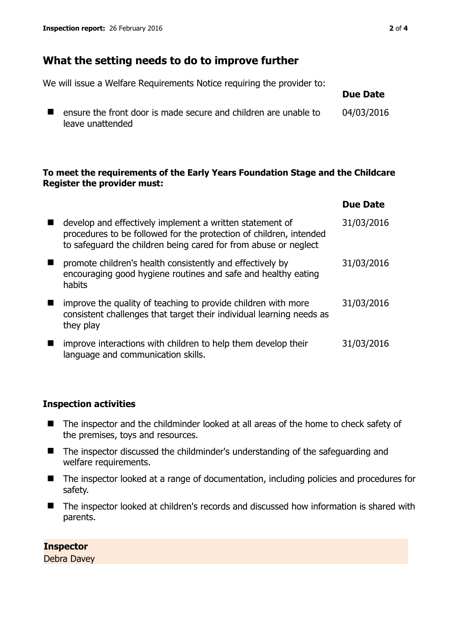## **What the setting needs to do to improve further**

We will issue a Welfare Requirements Notice requiring the provider to:

 $\blacksquare$  ensure the front door is made secure and children are unable to leave unattended 04/03/2016

#### **To meet the requirements of the Early Years Foundation Stage and the Childcare Register the provider must:**

|                                                                                                                                                                                                   | <b>Due Date</b> |
|---------------------------------------------------------------------------------------------------------------------------------------------------------------------------------------------------|-----------------|
| develop and effectively implement a written statement of<br>procedures to be followed for the protection of children, intended<br>to safeguard the children being cared for from abuse or neglect | 31/03/2016      |
| promote children's health consistently and effectively by<br>encouraging good hygiene routines and safe and healthy eating<br>habits                                                              | 31/03/2016      |
| improve the quality of teaching to provide children with more<br>consistent challenges that target their individual learning needs as<br>they play                                                | 31/03/2016      |
| improve interactions with children to help them develop their<br>language and communication skills.                                                                                               | 31/03/2016      |

#### **Inspection activities**

- The inspector and the childminder looked at all areas of the home to check safety of the premises, toys and resources.
- The inspector discussed the childminder's understanding of the safeguarding and welfare requirements.
- The inspector looked at a range of documentation, including policies and procedures for safety.
- The inspector looked at children's records and discussed how information is shared with parents.

#### **Inspector**

Debra Davey

**Due Date**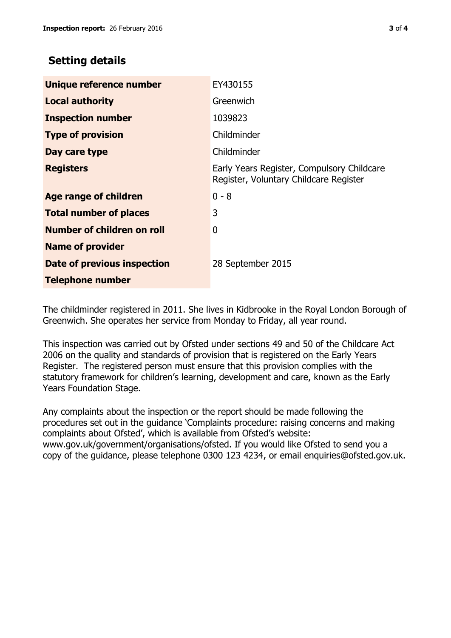## **Setting details**

| Unique reference number            | EY430155                                                                             |
|------------------------------------|--------------------------------------------------------------------------------------|
| <b>Local authority</b>             | Greenwich                                                                            |
| <b>Inspection number</b>           | 1039823                                                                              |
| <b>Type of provision</b>           | Childminder                                                                          |
| Day care type                      | Childminder                                                                          |
| <b>Registers</b>                   | Early Years Register, Compulsory Childcare<br>Register, Voluntary Childcare Register |
| <b>Age range of children</b>       | $0 - 8$                                                                              |
| <b>Total number of places</b>      | 3                                                                                    |
| Number of children on roll         | 0                                                                                    |
| <b>Name of provider</b>            |                                                                                      |
| <b>Date of previous inspection</b> | 28 September 2015                                                                    |
| <b>Telephone number</b>            |                                                                                      |

The childminder registered in 2011. She lives in Kidbrooke in the Royal London Borough of Greenwich. She operates her service from Monday to Friday, all year round.

This inspection was carried out by Ofsted under sections 49 and 50 of the Childcare Act 2006 on the quality and standards of provision that is registered on the Early Years Register. The registered person must ensure that this provision complies with the statutory framework for children's learning, development and care, known as the Early Years Foundation Stage.

Any complaints about the inspection or the report should be made following the procedures set out in the guidance 'Complaints procedure: raising concerns and making complaints about Ofsted', which is available from Ofsted's website: www.gov.uk/government/organisations/ofsted. If you would like Ofsted to send you a copy of the guidance, please telephone 0300 123 4234, or email enquiries@ofsted.gov.uk.